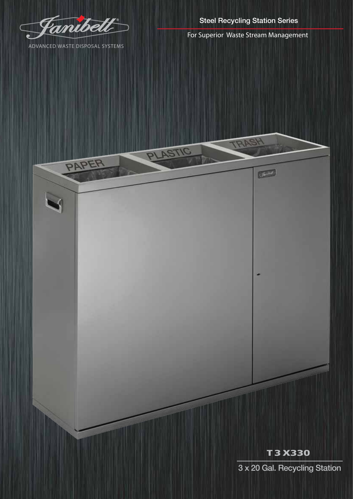

ADVANCED WASTE DISPOSAL SYSTEMS

PAPER

Steel Recycling Station Series

For Superior Waste Stream Management

TRASH

 $\overline{\phantom{a}}$ 

PLASTIC

## T 3 X330

3 x 20 Gal. Recycling Station